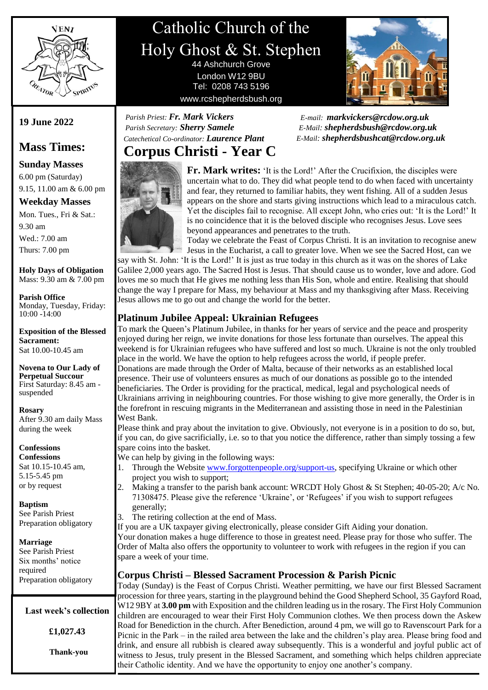

# Catholic Church of the Holy Ghost & St. Stephen 44 Ashchurch Grove

London W12 9BU Tel: 0208 743 5196 www.rcshepherdsbush.org



 *E-mail: [markvickers@rcdow.org.uk](mailto:markvickers@rcdow.org.uk)* *E-Mail: [shepherdsbush@rcdow.org.uk](mailto:shepherdsbush@rcdow.org.uk) E-Mail: shepherdsbushcat@rcdow.org.uk*

## **Corpus Christi - Year C**  *Catechetical Co-ordinator: Laurence Plant*

 *Parish Priest: Fr. Mark Vickers Parish Secretary: Sherry Samele*



**Fr. Mark writes:** 'It is the Lord!' After the Crucifixion, the disciples were uncertain what to do. They did what people tend to do when faced with uncertainty and fear, they returned to familiar habits, they went fishing. All of a sudden Jesus appears on the shore and starts giving instructions which lead to a miraculous catch. Yet the disciples fail to recognise. All except John, who cries out: 'It is the Lord!' It is no coincidence that it is the beloved disciple who recognises Jesus. Love sees beyond appearances and penetrates to the truth.

Today we celebrate the Feast of Corpus Christi. It is an invitation to recognise anew Jesus in the Eucharist, a call to greater love. When we see the Sacred Host, can we

say with St. John: 'It is the Lord!' It is just as true today in this church as it was on the shores of Lake Galilee 2,000 years ago. The Sacred Host is Jesus. That should cause us to wonder, love and adore. God loves me so much that He gives me nothing less than His Son, whole and entire. Realising that should change the way I prepare for Mass, my behaviour at Mass and my thanksgiving after Mass. Receiving Jesus allows me to go out and change the world for the better.

## **Platinum Jubilee Appeal: Ukrainian Refugees**

To mark the Queen's Platinum Jubilee, in thanks for her years of service and the peace and prosperity enjoyed during her reign, we invite donations for those less fortunate than ourselves. The appeal this weekend is for Ukrainian refugees who have suffered and lost so much. Ukraine is not the only troubled place in the world. We have the option to help refugees across the world, if people prefer. Donations are made through the Order of Malta, because of their networks as an established local presence. Their use of volunteers ensures as much of our donations as possible go to the intended beneficiaries. The Order is providing for the practical, medical, legal and psychological needs of Ukrainians arriving in neighbouring countries. For those wishing to give more generally, the Order is in the forefront in rescuing migrants in the Mediterranean and assisting those in need in the Palestinian West Bank.

Please think and pray about the invitation to give. Obviously, not everyone is in a position to do so, but, if you can, do give sacrificially, i.e. so to that you notice the difference, rather than simply tossing a few spare coins into the basket.

We can help by giving in the following ways:

- 1. Through the Websit[e www.forgottenpeople.org/support-us,](http://www.forgottenpeople.org/support-us) specifying Ukraine or which other project you wish to support;
- 2. Making a transfer to the parish bank account: WRCDT Holy Ghost & St Stephen; 40-05-20; A/c No. 71308475. Please give the reference 'Ukraine', or 'Refugees' if you wish to support refugees generally;
- 3. The retiring collection at the end of Mass.

If you are a UK taxpayer giving electronically, please consider Gift Aiding your donation. Your donation makes a huge difference to those in greatest need. Please pray for those who suffer. The Order of Malta also offers the opportunity to volunteer to work with refugees in the region if you can spare a week of your time.

### **Corpus Christi – Blessed Sacrament Procession & Parish Picnic**

Today (Sunday) is the Feast of Corpus Christi. Weather permitting, we have our first Blessed Sacrament procession for three years, starting in the playground behind the Good Shepherd School, 35 Gayford Road, W12 9BY at **3.00 pm** with Exposition and the children leading us in the rosary. The First Holy Communion children are encouraged to wear their First Holy Communion clothes. We then process down the Askew Road for Benediction in the church. After Benediction, around 4 pm, we will go to Ravenscourt Park for a Picnic in the Park – in the railed area between the lake and the children's play area. Please bring food and drink, and ensure all rubbish is cleared away subsequently. This is a wonderful and joyful public act of witness to Jesus, truly present in the Blessed Sacrament, and something which helps children appreciate their Catholic identity. And we have the opportunity to enjoy one another's company.

**19 June 2022**

## **Mass Times:**

**Sunday Masses** 6.00 pm (Saturday) 9.15, 11.00 am & 6.00 pm

### **Weekday Masses**

Mon. Tues., Fri & Sat.: 9.30 am Wed.: 7.00 am Thurs: 7.00 pm

#### **Holy Days of Obligation** Mass: 9.30 am & 7.00 pm

**Parish Office** Monday, Tuesday, Friday: 10:00 -14:00

**Exposition of the Blessed Sacrament:** Sat 10.00-10.45 am

**Novena to Our Lady of Perpetual Succour** First Saturday: 8.45 am suspended

**Rosary** After 9.30 am daily Mass during the week

### **Confessions**

**Confessions** Sat 10.15-10.45 am, 5.15-5.45 pm or by request

**Baptism**

See Parish Priest Preparation obligatory

## **Marriage**

See Parish Priest Six months' notice required Preparation obligatory

**Last week's collection**

**£1,027.43**

**Thank-you**